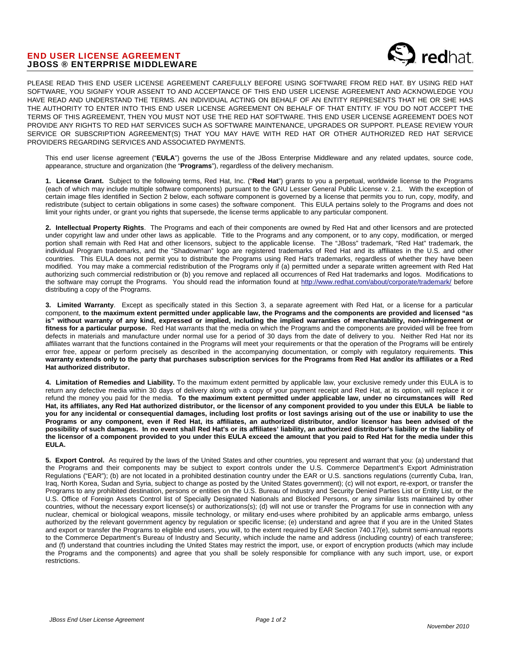## END USER LICENSE AGREEMENT JBOSS ® ENTERPRISE MIDDLEWARE



PLEASE READ THIS END USER LICENSE AGREEMENT CAREFULLY BEFORE USING SOFTWARE FROM RED HAT. BY USING RED HAT SOFTWARE, YOU SIGNIFY YOUR ASSENT TO AND ACCEPTANCE OF THIS END USER LICENSE AGREEMENT AND ACKNOWLEDGE YOU HAVE READ AND UNDERSTAND THE TERMS. AN INDIVIDUAL ACTING ON BEHALF OF AN ENTITY REPRESENTS THAT HE OR SHE HAS THE AUTHORITY TO ENTER INTO THIS END USER LICENSE AGREEMENT ON BEHALF OF THAT ENTITY. IF YOU DO NOT ACCEPT THE TERMS OF THIS AGREEMENT, THEN YOU MUST NOT USE THE RED HAT SOFTWARE. THIS END USER LICENSE AGREEMENT DOES NOT PROVIDE ANY RIGHTS TO RED HAT SERVICES SUCH AS SOFTWARE MAINTENANCE, UPGRADES OR SUPPORT. PLEASE REVIEW YOUR SERVICE OR SUBSCRIPTION AGREEMENT(S) THAT YOU MAY HAVE WITH RED HAT OR OTHER AUTHORIZED RED HAT SERVICE PROVIDERS REGARDING SERVICES AND ASSOCIATED PAYMENTS.

This end user license agreement ("**EULA**") governs the use of the JBoss Enterprise Middleware and any related updates, source code, appearance, structure and organization (the "**Programs**"), regardless of the delivery mechanism.

**1. License Grant.** Subject to the following terms, Red Hat, Inc. ("**Red Hat**") grants to you a perpetual, worldwide license to the Programs (each of which may include multiple software components) pursuant to the GNU Lesser General Public License v. 2.1. With the exception of certain image files identified in Section 2 below, each software component is governed by a license that permits you to run, copy, modify, and redistribute (subject to certain obligations in some cases) the software component. This EULA pertains solely to the Programs and does not limit your rights under, or grant you rights that supersede, the license terms applicable to any particular component.

**2. Intellectual Property Rights**. The Programs and each of their components are owned by Red Hat and other licensors and are protected under copyright law and under other laws as applicable. Title to the Programs and any component, or to any copy, modification, or merged portion shall remain with Red Hat and other licensors, subject to the applicable license. The "JBoss" trademark, "Red Hat" trademark, the individual Program trademarks, and the "Shadowman" logo are registered trademarks of Red Hat and its affiliates in the U.S. and other countries. This EULA does not permit you to distribute the Programs using Red Hat's trademarks, regardless of whether they have been modified. You may make a commercial redistribution of the Programs only if (a) permitted under a separate written agreement with Red Hat authorizing such commercial redistribution or (b) you remove and replaced all occurrences of Red Hat trademarks and logos. Modifications to the software may corrupt the Programs. You should read the information found at http://www.redhat.com/about/corporate/trademark/ before distributing a copy of the Programs.

**3. Limited Warranty**. Except as specifically stated in this Section 3, a separate agreement with Red Hat, or a license for a particular component, **to the maximum extent permitted under applicable law, the Programs and the components are provided and licensed "as is" without warranty of any kind, expressed or implied, including the implied warranties of merchantability, non-infringement or fitness for a particular purpose.** Red Hat warrants that the media on which the Programs and the components are provided will be free from defects in materials and manufacture under normal use for a period of 30 days from the date of delivery to you. Neither Red Hat nor its affiliates warrant that the functions contained in the Programs will meet your requirements or that the operation of the Programs will be entirely error free, appear or perform precisely as described in the accompanying documentation, or comply with regulatory requirements. **This warranty extends only to the party that purchases subscription services for the Programs from Red Hat and/or its affiliates or a Red Hat authorized distributor.** 

**4. Limitation of Remedies and Liability.** To the maximum extent permitted by applicable law, your exclusive remedy under this EULA is to return any defective media within 30 days of delivery along with a copy of your payment receipt and Red Hat, at its option, will replace it or refund the money you paid for the media. **To the maximum extent permitted under applicable law, under no circumstances will Red Hat, its affiliates, any Red Hat authorized distributor, or the licensor of any component provided to you under this EULA be liable to you for any incidental or consequential damages, including lost profits or lost savings arising out of the use or inability to use the Programs or any component, even if Red Hat, its affiliates, an authorized distributor, and/or licensor has been advised of the possibility of such damages. In no event shall Red Hat's or its affiliates' liability, an authorized distributor's liability or the liability of the licensor of a component provided to you under this EULA exceed the amount that you paid to Red Hat for the media under this EULA.** 

**5. Export Control.** As required by the laws of the United States and other countries, you represent and warrant that you: (a) understand that the Programs and their components may be subject to export controls under the U.S. Commerce Department's Export Administration Regulations ("EAR"); (b) are not located in a prohibited destination country under the EAR or U.S. sanctions regulations (currently Cuba, Iran, Iraq, North Korea, Sudan and Syria, subject to change as posted by the United States government); (c) will not export, re-export, or transfer the Programs to any prohibited destination, persons or entities on the U.S. Bureau of Industry and Security Denied Parties List or Entity List, or the U.S. Office of Foreign Assets Control list of Specially Designated Nationals and Blocked Persons, or any similar lists maintained by other countries, without the necessary export license(s) or authorizations(s); (d) will not use or transfer the Programs for use in connection with any nuclear, chemical or biological weapons, missile technology, or military end-uses where prohibited by an applicable arms embargo, unless authorized by the relevant government agency by regulation or specific license; (e) understand and agree that if you are in the United States and export or transfer the Programs to eligible end users, you will, to the extent required by EAR Section 740.17(e), submit semi-annual reports to the Commerce Department's Bureau of Industry and Security, which include the name and address (including country) of each transferee; and (f) understand that countries including the United States may restrict the import, use, or export of encryption products (which may include the Programs and the components) and agree that you shall be solely responsible for compliance with any such import, use, or export restrictions.